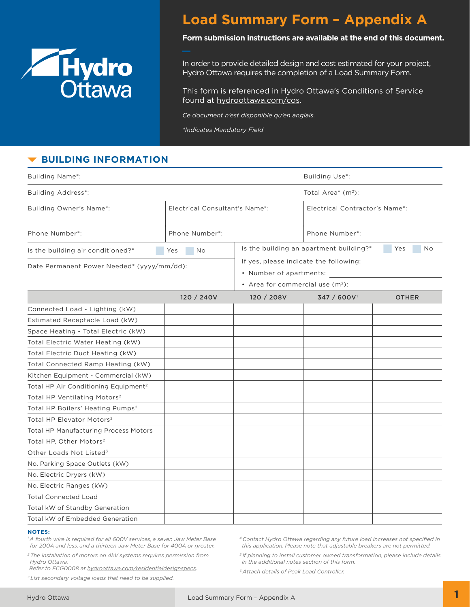

# **Load Summary Form – Appendix A**

### **Form submission instructions are available at the end of this document.**

In order to provide detailed design and cost estimated for your project, Hydro Ottawa requires the completion of a Load Summary Form.

This form is referenced in Hydro Ottawa's Conditions of Service found at [hydroottawa.com/cos](https://hydroottawa.com/about/policies/conditions-of-service).

*Ce document n'est disponible qu'en anglais.*

*\*Indicates Mandatory Field*

# **BUILDING INFORMATION**

| <b>Building Name*:</b>                           | Building Use*:                 |                                                                                                         |                                                      |              |  |
|--------------------------------------------------|--------------------------------|---------------------------------------------------------------------------------------------------------|------------------------------------------------------|--------------|--|
| <b>Building Address*:</b>                        | Total Area* $(m2)$ :           |                                                                                                         |                                                      |              |  |
| Building Owner's Name*:                          | Electrical Consultant's Name*: |                                                                                                         | Electrical Contractor's Name*:                       |              |  |
| Phone Number*:                                   | Phone Number*:                 |                                                                                                         | Phone Number*:                                       |              |  |
| Is the building air conditioned?*                | No.<br>Yes                     |                                                                                                         | Is the building an apartment building?*<br>Yes<br>No |              |  |
| Date Permanent Power Needed* (yyyy/mm/dd):       |                                | If yes, please indicate the following:<br>• Number of apartments:<br>• Area for commercial use $(m2)$ : |                                                      |              |  |
|                                                  | 120 / 240V                     | 120 / 208V                                                                                              | 347 / 600V <sup>1</sup>                              | <b>OTHER</b> |  |
| Connected Load - Lighting (kW)                   |                                |                                                                                                         |                                                      |              |  |
| Estimated Receptacle Load (kW)                   |                                |                                                                                                         |                                                      |              |  |
| Space Heating - Total Electric (kW)              |                                |                                                                                                         |                                                      |              |  |
| Total Electric Water Heating (kW)                |                                |                                                                                                         |                                                      |              |  |
| Total Electric Duct Heating (kW)                 |                                |                                                                                                         |                                                      |              |  |
| Total Connected Ramp Heating (kW)                |                                |                                                                                                         |                                                      |              |  |
| Kitchen Equipment - Commercial (kW)              |                                |                                                                                                         |                                                      |              |  |
| Total HP Air Conditioning Equipment <sup>2</sup> |                                |                                                                                                         |                                                      |              |  |
| Total HP Ventilating Motors <sup>2</sup>         |                                |                                                                                                         |                                                      |              |  |
| Total HP Boilers' Heating Pumps <sup>2</sup>     |                                |                                                                                                         |                                                      |              |  |
| Total HP Elevator Motors <sup>2</sup>            |                                |                                                                                                         |                                                      |              |  |
| <b>Total HP Manufacturing Process Motors</b>     |                                |                                                                                                         |                                                      |              |  |
| Total HP, Other Motors <sup>2</sup>              |                                |                                                                                                         |                                                      |              |  |
| Other Loads Not Listed <sup>3</sup>              |                                |                                                                                                         |                                                      |              |  |
| No. Parking Space Outlets (kW)                   |                                |                                                                                                         |                                                      |              |  |
| No. Electric Dryers (kW)                         |                                |                                                                                                         |                                                      |              |  |
| No. Electric Ranges (kW)                         |                                |                                                                                                         |                                                      |              |  |
| <b>Total Connected Load</b>                      |                                |                                                                                                         |                                                      |              |  |
| Total kW of Standby Generation                   |                                |                                                                                                         |                                                      |              |  |
| Total kW of Embedded Generation                  |                                |                                                                                                         |                                                      |              |  |

#### **NOTES:**

*1 A fourth wire is required for all 600V services, a seven Jaw Meter Base for 200A and less, and a thirteen Jaw Meter Base for 400A or greater.*

*2 The installation of motors on 4kV systems requires permission from Hydro Ottawa.* 

 *Refer to ECG0008 at [hydroottawa.com/residentialdesignspecs](https://hydroottawa.com/accounts-and-billing/residential/guide/residential-design-specifications).*

*3 List secondary voltage loads that need to be supplied.*

*<sup>4</sup>Contact Hydro Ottawa regarding any future load increases not specified in this application. Please note that adjustable breakers are not permitted.* 

*5 If planning to install customer owned transformation, please include details in the additional notes section of this form.*

*6 Attach details of Peak Load Controller.*